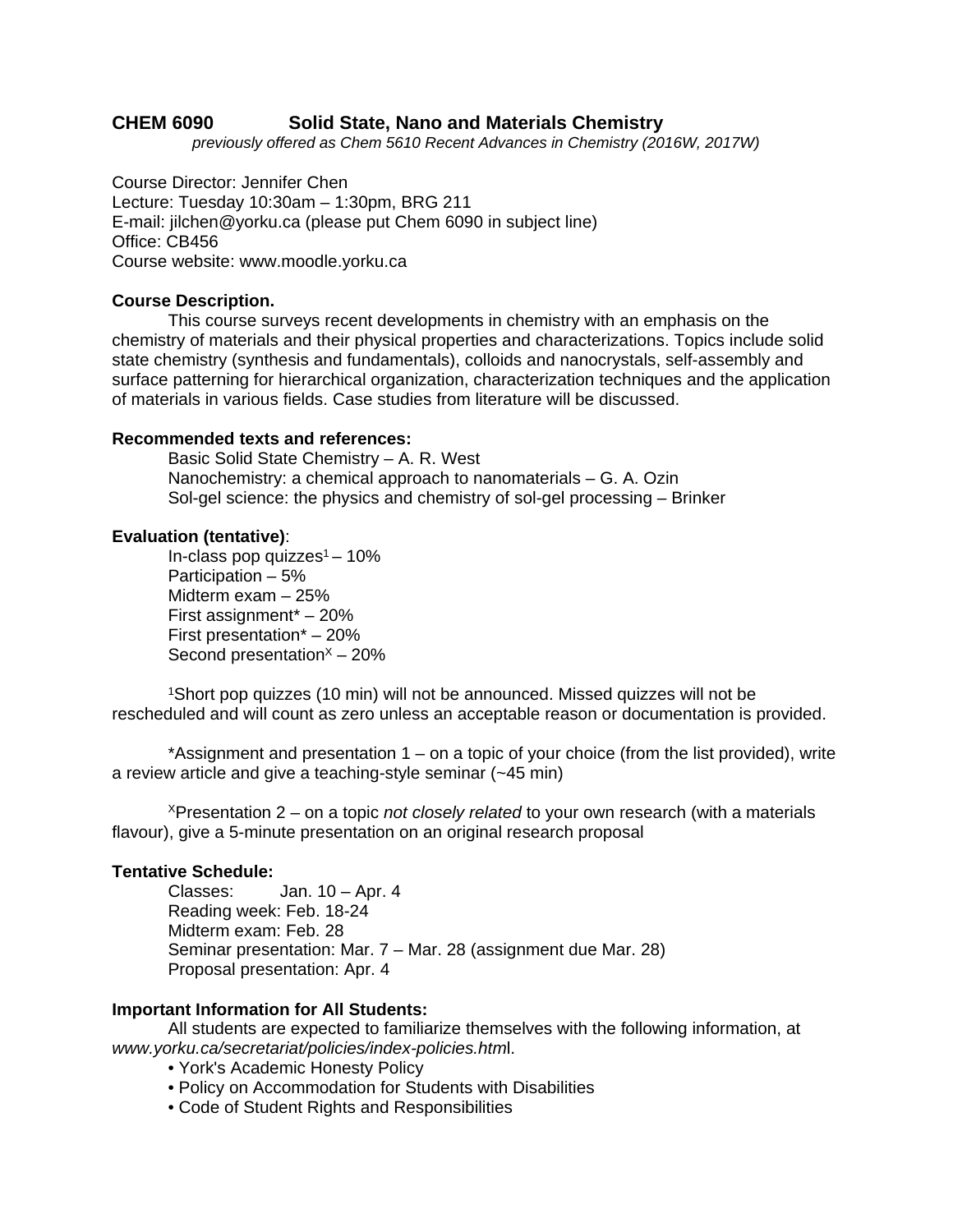# **CHEM 6090 Solid State, Nano and Materials Chemistry**

*previously offered as Chem 5610 Recent Advances in Chemistry (2016W, 2017W)*

Course Director: Jennifer Chen Lecture: Tuesday 10:30am – 1:30pm, BRG 211 E-mail: jilchen@yorku.ca (please put Chem 6090 in subject line) Office: CB456 Course website: www.moodle.yorku.ca

### **Course Description.**

This course surveys recent developments in chemistry with an emphasis on the chemistry of materials and their physical properties and characterizations. Topics include solid state chemistry (synthesis and fundamentals), colloids and nanocrystals, self-assembly and surface patterning for hierarchical organization, characterization techniques and the application of materials in various fields. Case studies from literature will be discussed.

## **Recommended texts and references:**

Basic Solid State Chemistry – A. R. West Nanochemistry: a chemical approach to nanomaterials – G. A. Ozin Sol-gel science: the physics and chemistry of sol-gel processing – Brinker

## **Evaluation (tentative)**:

In-class pop quizzes $1 - 10\%$ Participation – 5% Midterm exam – 25% First assignment\* – 20% First presentation\* – 20% Second presentation $x - 20$ %

1Short pop quizzes (10 min) will not be announced. Missed quizzes will not be rescheduled and will count as zero unless an acceptable reason or documentation is provided.

\*Assignment and presentation 1 – on a topic of your choice (from the list provided), write a review article and give a teaching-style seminar (~45 min)

XPresentation 2 – on a topic *not closely related* to your own research (with a materials flavour), give a 5-minute presentation on an original research proposal

### **Tentative Schedule:**

Classes: Jan. 10 – Apr. 4 Reading week: Feb. 18-24 Midterm exam: Feb. 28 Seminar presentation: Mar. 7 – Mar. 28 (assignment due Mar. 28) Proposal presentation: Apr. 4

# **Important Information for All Students:**

All students are expected to familiarize themselves with the following information, at *www.yorku.ca/secretariat/policies/index-policies.htm*l.

- York's Academic Honesty Policy
- Policy on Accommodation for Students with Disabilities
- Code of Student Rights and Responsibilities